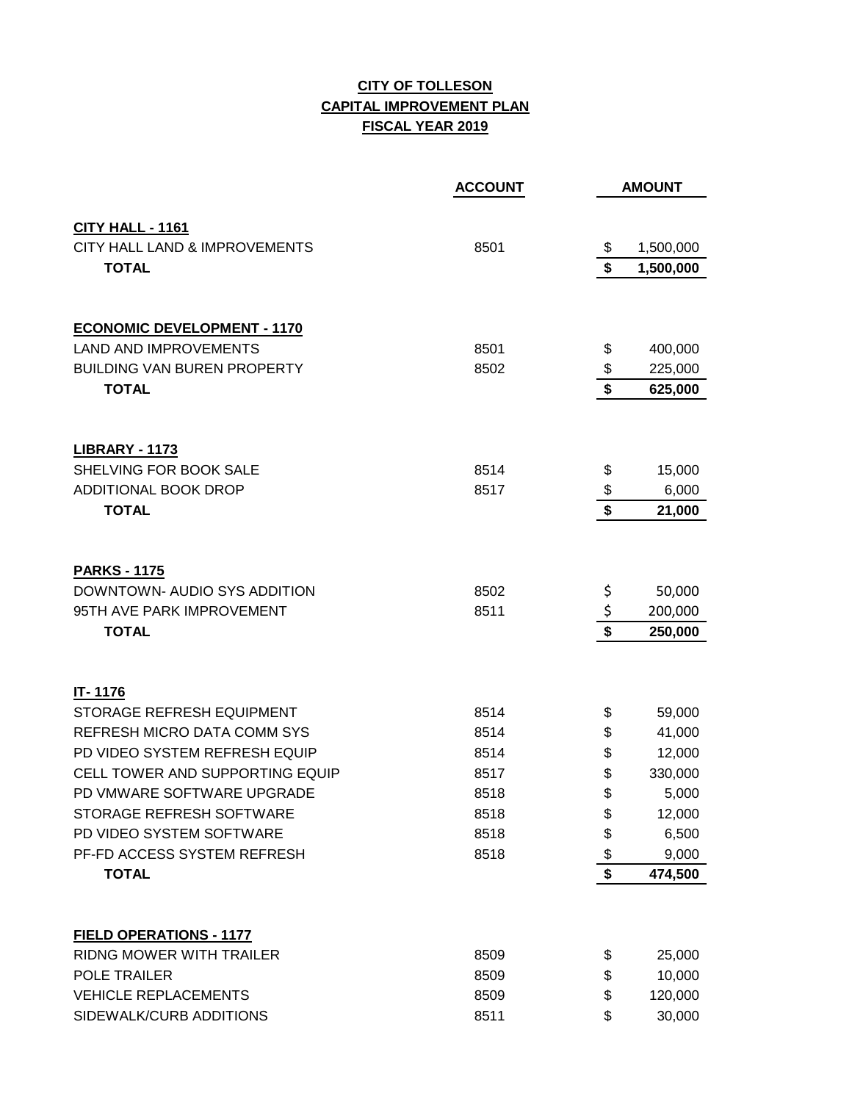## **CITY OF TOLLESON CAPITAL IMPROVEMENT PLAN FISCAL YEAR 2019**

|                                    | <b>ACCOUNT</b> |                   | <b>AMOUNT</b> |
|------------------------------------|----------------|-------------------|---------------|
| CITY HALL - 1161                   |                |                   |               |
| CITY HALL LAND & IMPROVEMENTS      | 8501           | \$                | 1,500,000     |
| <b>TOTAL</b>                       |                | $\boldsymbol{\$}$ | 1,500,000     |
|                                    |                |                   |               |
| <b>ECONOMIC DEVELOPMENT - 1170</b> |                |                   |               |
| <b>LAND AND IMPROVEMENTS</b>       | 8501           | \$                | 400,000       |
| <b>BUILDING VAN BUREN PROPERTY</b> | 8502           | \$                | 225,000       |
| <b>TOTAL</b>                       |                | \$                | 625,000       |
| <b>LIBRARY - 1173</b>              |                |                   |               |
| SHELVING FOR BOOK SALE             | 8514           | \$                | 15,000        |
| <b>ADDITIONAL BOOK DROP</b>        | 8517           | \$                | 6,000         |
| <b>TOTAL</b>                       |                | \$                | 21,000        |
|                                    |                |                   |               |
| <b>PARKS - 1175</b>                |                |                   |               |
| DOWNTOWN- AUDIO SYS ADDITION       | 8502           | \$                | 50,000        |
| 95TH AVE PARK IMPROVEMENT          | 8511           | \$                | 200,000       |
| <b>TOTAL</b>                       |                | \$                | 250,000       |
| IT-1176                            |                |                   |               |
| STORAGE REFRESH EQUIPMENT          | 8514           | \$                | 59,000        |
| REFRESH MICRO DATA COMM SYS        | 8514           | \$                | 41,000        |
| PD VIDEO SYSTEM REFRESH EQUIP      | 8514           | \$                | 12,000        |
| CELL TOWER AND SUPPORTING EQUIP    | 8517           | \$                | 330,000       |
| PD VMWARE SOFTWARE UPGRADE         | 8518           | \$                | 5,000         |
| STORAGE REFRESH SOFTWARE           | 8518           | \$                | 12,000        |
| PD VIDEO SYSTEM SOFTWARE           | 8518           | \$                | 6,500         |
| PF-FD ACCESS SYSTEM REFRESH        | 8518           | \$                | 9,000         |
| <b>TOTAL</b>                       |                | \$                | 474,500       |
| FIELD OPERATIONS - 1177            |                |                   |               |
| <b>RIDNG MOWER WITH TRAILER</b>    | 8509           | \$                | 25,000        |
| <b>POLE TRAILER</b>                | 8509           | \$                | 10,000        |
| <b>VEHICLE REPLACEMENTS</b>        | 8509           | \$                | 120,000       |
| SIDEWALK/CURB ADDITIONS            | 8511           | \$                | 30,000        |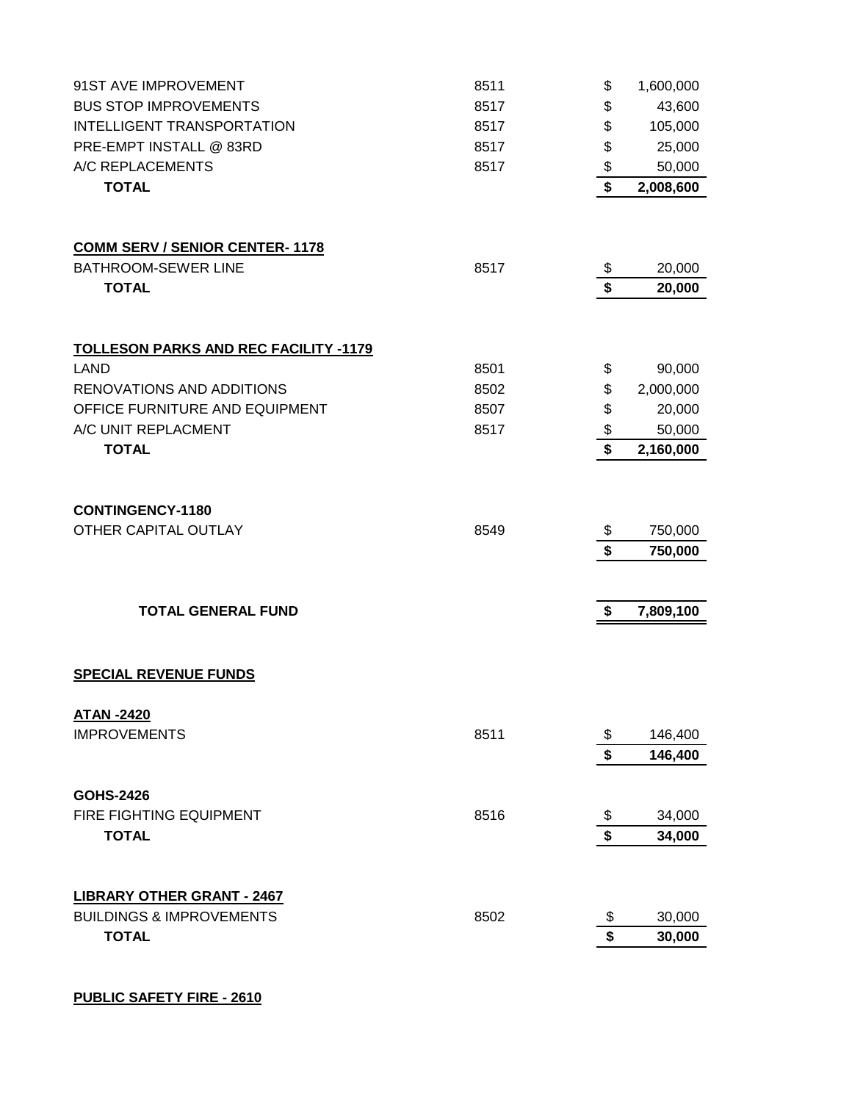| 91ST AVE IMPROVEMENT                            | 8511 | \$       | 1,600,000           |
|-------------------------------------------------|------|----------|---------------------|
| <b>BUS STOP IMPROVEMENTS</b>                    | 8517 | \$       | 43,600              |
| INTELLIGENT TRANSPORTATION                      | 8517 | \$       | 105,000             |
| PRE-EMPT INSTALL @ 83RD                         | 8517 | \$       | 25,000              |
| A/C REPLACEMENTS                                | 8517 | \$       | 50,000              |
| <b>TOTAL</b>                                    |      | \$       | 2,008,600           |
|                                                 |      |          |                     |
| <b>COMM SERV / SENIOR CENTER-1178</b>           |      |          |                     |
| <b>BATHROOM-SEWER LINE</b>                      | 8517 | \$       | 20,000              |
| <b>TOTAL</b>                                    |      | \$       | 20,000              |
|                                                 |      |          |                     |
| <b>TOLLESON PARKS AND REC FACILITY -1179</b>    |      |          |                     |
| <b>LAND</b>                                     | 8501 | \$       | 90,000              |
| RENOVATIONS AND ADDITIONS                       | 8502 | \$       | 2,000,000           |
| OFFICE FURNITURE AND EQUIPMENT                  | 8507 | \$       | 20,000              |
| A/C UNIT REPLACMENT<br><b>TOTAL</b>             | 8517 | \$<br>\$ | 50,000<br>2,160,000 |
|                                                 |      |          |                     |
|                                                 |      |          |                     |
| <b>CONTINGENCY-1180</b><br>OTHER CAPITAL OUTLAY | 8549 | \$       | 750,000             |
|                                                 |      | \$       | 750,000             |
|                                                 |      |          |                     |
| <b>TOTAL GENERAL FUND</b>                       |      | \$       | 7,809,100           |
|                                                 |      |          |                     |
| <b>SPECIAL REVENUE FUNDS</b>                    |      |          |                     |
| <b>ATAN -2420</b>                               |      |          |                     |
| <b>IMPROVEMENTS</b>                             | 8511 | \$       | 146,400             |
|                                                 |      | \$       | 146,400             |
| <b>GOHS-2426</b>                                |      |          |                     |
| FIRE FIGHTING EQUIPMENT                         | 8516 | \$       | 34,000              |
| <b>TOTAL</b>                                    |      | \$       | 34,000              |
|                                                 |      |          |                     |
| <b>LIBRARY OTHER GRANT - 2467</b>               |      |          |                     |
| <b>BUILDINGS &amp; IMPROVEMENTS</b>             | 8502 | \$       | 30,000              |
| <b>TOTAL</b>                                    |      | \$       | 30,000              |
|                                                 |      |          |                     |

## **PUBLIC SAFETY FIRE - 2610**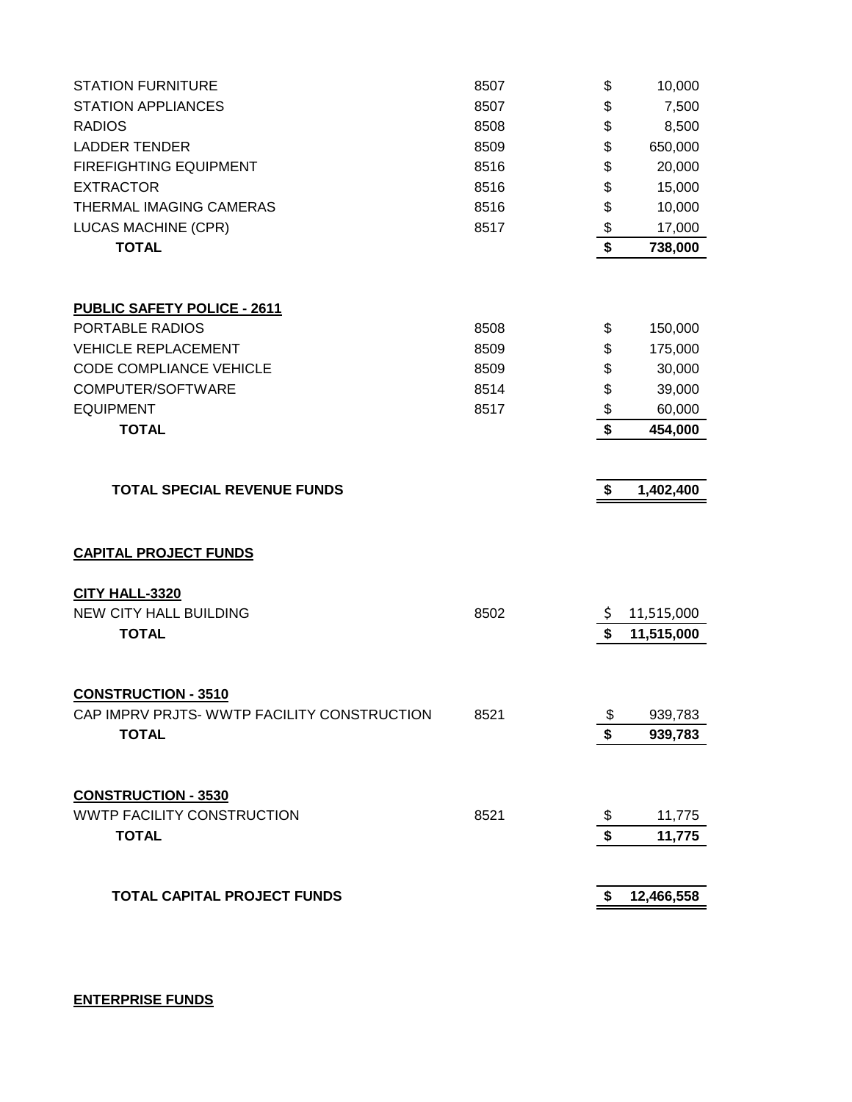| <b>STATION FURNITURE</b>                    | 8507 | \$                                   | 10,000     |
|---------------------------------------------|------|--------------------------------------|------------|
| <b>STATION APPLIANCES</b>                   | 8507 | \$                                   | 7,500      |
| <b>RADIOS</b>                               | 8508 | \$                                   | 8,500      |
| <b>LADDER TENDER</b>                        | 8509 | \$                                   | 650,000    |
| <b>FIREFIGHTING EQUIPMENT</b>               | 8516 | \$                                   | 20,000     |
| <b>EXTRACTOR</b>                            | 8516 | \$                                   | 15,000     |
| THERMAL IMAGING CAMERAS                     | 8516 | \$                                   | 10,000     |
| <b>LUCAS MACHINE (CPR)</b>                  | 8517 | \$                                   | 17,000     |
| <b>TOTAL</b>                                |      | \$                                   | 738,000    |
|                                             |      |                                      |            |
| <b>PUBLIC SAFETY POLICE - 2611</b>          |      |                                      |            |
| PORTABLE RADIOS                             | 8508 | \$                                   | 150,000    |
| <b>VEHICLE REPLACEMENT</b>                  | 8509 | \$                                   | 175,000    |
| <b>CODE COMPLIANCE VEHICLE</b>              | 8509 | \$                                   | 30,000     |
| COMPUTER/SOFTWARE                           | 8514 | \$                                   | 39,000     |
| <b>EQUIPMENT</b>                            | 8517 | \$                                   | 60,000     |
| <b>TOTAL</b>                                |      | $\overline{\boldsymbol{\mathsf{s}}}$ | 454,000    |
|                                             |      |                                      |            |
| <b>TOTAL SPECIAL REVENUE FUNDS</b>          |      | \$                                   | 1,402,400  |
|                                             |      |                                      |            |
| <b>CAPITAL PROJECT FUNDS</b>                |      |                                      |            |
| <b>CITY HALL-3320</b>                       |      |                                      |            |
| <b>NEW CITY HALL BUILDING</b>               | 8502 | \$                                   | 11,515,000 |
| <b>TOTAL</b>                                |      | \$                                   | 11,515,000 |
|                                             |      |                                      |            |
| <b>CONSTRUCTION - 3510</b>                  |      |                                      |            |
| CAP IMPRV PRJTS- WWTP FACILITY CONSTRUCTION | 8521 | \$                                   | 939,783    |
| <b>TOTAL</b>                                |      | \$                                   | 939,783    |
|                                             |      |                                      |            |
| <b>CONSTRUCTION - 3530</b>                  |      |                                      |            |
| <b>WWTP FACILITY CONSTRUCTION</b>           | 8521 |                                      | 11,775     |
| <b>TOTAL</b>                                |      | \$                                   | 11,775     |
|                                             |      |                                      |            |
| <b>TOTAL CAPITAL PROJECT FUNDS</b>          |      | \$                                   | 12,466,558 |
|                                             |      |                                      |            |

**ENTERPRISE FUNDS**